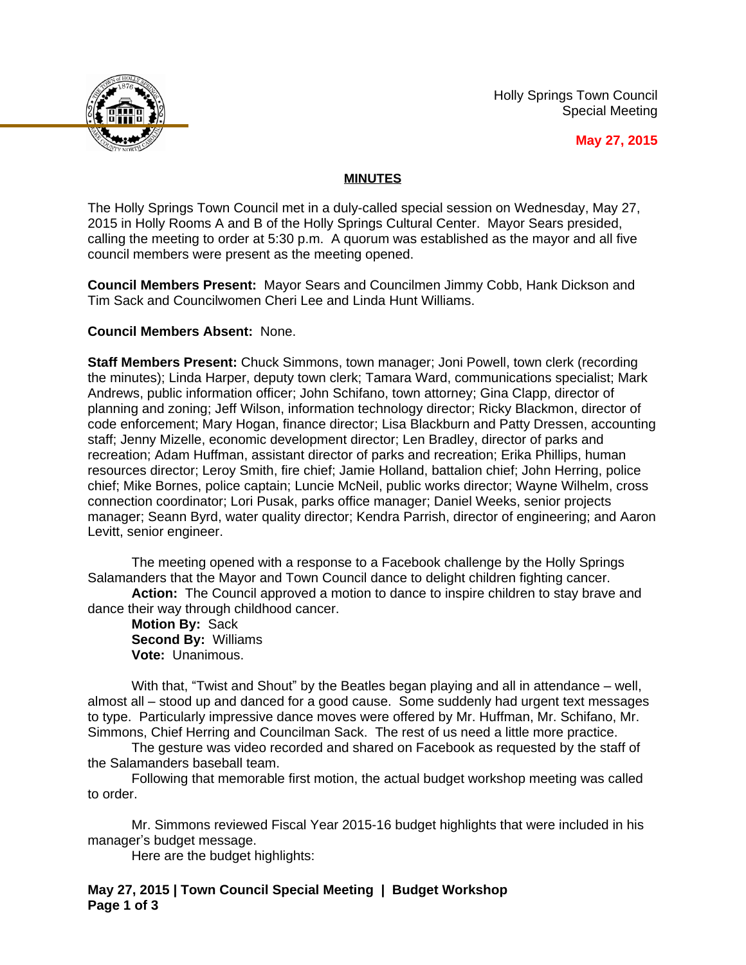Holly Springs Town Council Special Meeting



**May 27, 2015**

### **MINUTES**

The Holly Springs Town Council met in a duly-called special session on Wednesday, May 27, 2015 in Holly Rooms A and B of the Holly Springs Cultural Center. Mayor Sears presided, calling the meeting to order at 5:30 p.m. A quorum was established as the mayor and all five council members were present as the meeting opened.

**Council Members Present:** Mayor Sears and Councilmen Jimmy Cobb, Hank Dickson and Tim Sack and Councilwomen Cheri Lee and Linda Hunt Williams.

#### **Council Members Absent:** None.

**Staff Members Present:** Chuck Simmons, town manager; Joni Powell, town clerk (recording the minutes); Linda Harper, deputy town clerk; Tamara Ward, communications specialist; Mark Andrews, public information officer; John Schifano, town attorney; Gina Clapp, director of planning and zoning; Jeff Wilson, information technology director; Ricky Blackmon, director of code enforcement; Mary Hogan, finance director; Lisa Blackburn and Patty Dressen, accounting staff; Jenny Mizelle, economic development director; Len Bradley, director of parks and recreation; Adam Huffman, assistant director of parks and recreation; Erika Phillips, human resources director; Leroy Smith, fire chief; Jamie Holland, battalion chief; John Herring, police chief; Mike Bornes, police captain; Luncie McNeil, public works director; Wayne Wilhelm, cross connection coordinator; Lori Pusak, parks office manager; Daniel Weeks, senior projects manager; Seann Byrd, water quality director; Kendra Parrish, director of engineering; and Aaron Levitt, senior engineer.

The meeting opened with a response to a Facebook challenge by the Holly Springs Salamanders that the Mayor and Town Council dance to delight children fighting cancer.

**Action:** The Council approved a motion to dance to inspire children to stay brave and dance their way through childhood cancer.

**Motion By:** Sack **Second By:** Williams **Vote:** Unanimous.

With that, "Twist and Shout" by the Beatles began playing and all in attendance – well, almost all – stood up and danced for a good cause. Some suddenly had urgent text messages to type. Particularly impressive dance moves were offered by Mr. Huffman, Mr. Schifano, Mr. Simmons, Chief Herring and Councilman Sack. The rest of us need a little more practice.

The gesture was video recorded and shared on Facebook as requested by the staff of the Salamanders baseball team.

Following that memorable first motion, the actual budget workshop meeting was called to order.

Mr. Simmons reviewed Fiscal Year 2015-16 budget highlights that were included in his manager's budget message.

Here are the budget highlights:

**May 27, 2015 | Town Council Special Meeting | Budget Workshop Page 1 of 3**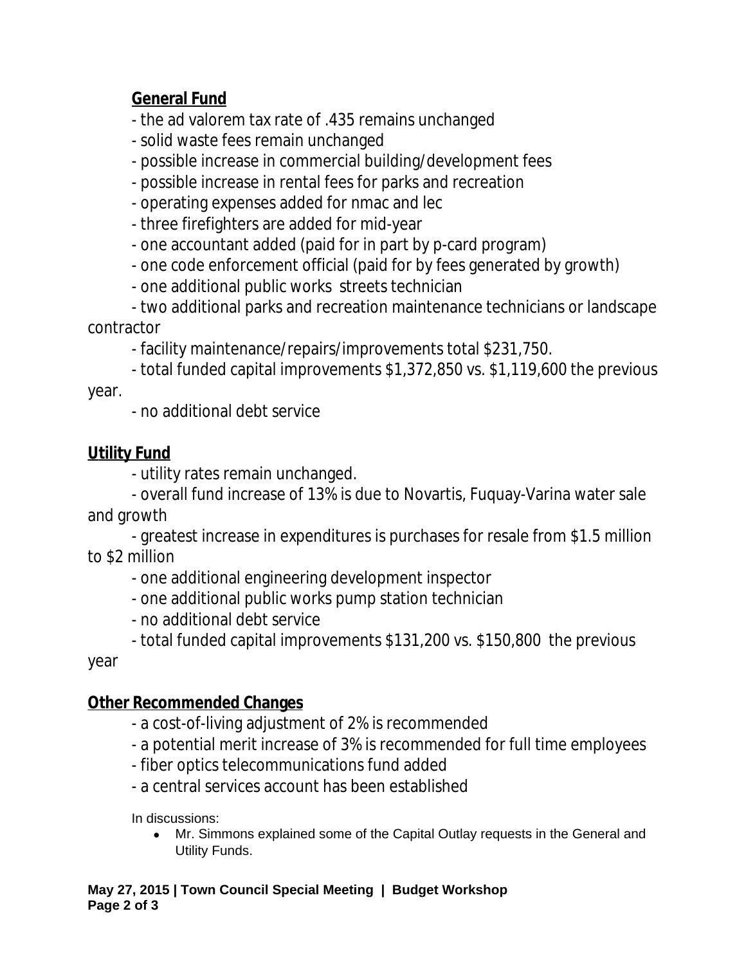## **General Fund**

- the ad valorem tax rate of .435 remains unchanged

- solid waste fees remain unchanged
- possible increase in commercial building/development fees
- possible increase in rental fees for parks and recreation
- operating expenses added for nmac and lec
- three firefighters are added for mid-year
- one accountant added (paid for in part by p-card program)
- one code enforcement official (paid for by fees generated by growth)
- one additional public works streets technician

- two additional parks and recreation maintenance technicians or landscape contractor

- facility maintenance/repairs/improvements total \$231,750.

- total funded capital improvements \$1,372,850 vs. \$1,119,600 the previous year.

- no additional debt service

# **Utility Fund**

- utility rates remain unchanged.

- overall fund increase of 13% is due to Novartis, Fuquay-Varina water sale and growth

- greatest increase in expenditures is purchases for resale from \$1.5 million to \$2 million

- one additional engineering development inspector
- one additional public works pump station technician
- no additional debt service
- total funded capital improvements \$131,200 vs. \$150,800 the previous

year

### **Other Recommended Changes**

- a cost-of-living adjustment of 2% is recommended
- a potential merit increase of 3% is recommended for full time employees
- fiber optics telecommunications fund added
- a central services account has been established

In discussions:

 Mr. Simmons explained some of the Capital Outlay requests in the General and Utility Funds.

**May 27, 2015 | Town Council Special Meeting | Budget Workshop Page 2 of 3**